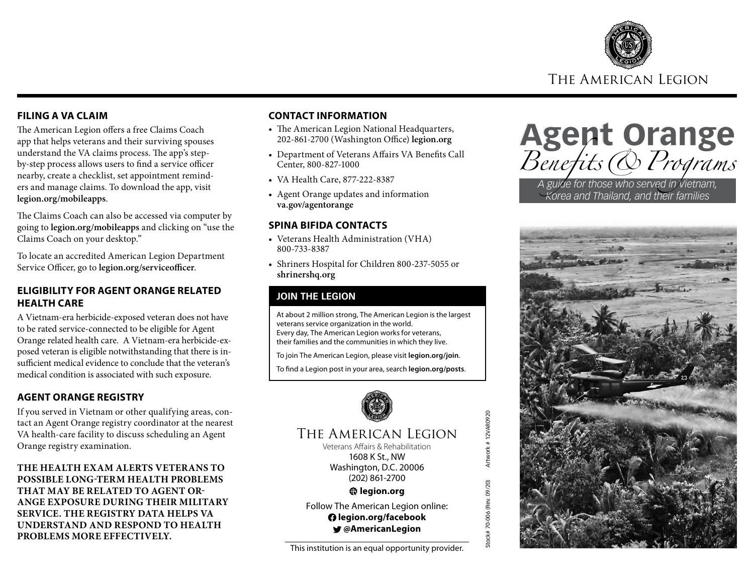

#### **FILING A VA CLAIM**

The American Legion offers a free Claims Coach app that helps veterans and their surviving spouses understand the VA claims process. The app's stepby-step process allows users to find a service officer nearby, create a checklist, set appointment reminders and manage claims. To download the app, visit **legion.org/mobileapps**.

The Claims Coach can also be accessed via computer by going to **legion.org/mobileapps** and clicking on "use the Claims Coach on your desktop."

To locate an accredited American Legion Department Service Officer, go to **legion.org/serviceofficer**.

#### **ELIGIBILITY FOR AGENT ORANGE RELATED HEALTH CARE**

A Vietnam-era herbicide-exposed veteran does not have to be rated service-connected to be eligible for Agent Orange related health care. A Vietnam-era herbicide-exposed veteran is eligible notwithstanding that there is insufficient medical evidence to conclude that the veteran's medical condition is associated with such exposure.

### **AGENT ORANGE REGISTRY**

If you served in Vietnam or other qualifying areas, contact an Agent Orange registry coordinator at the nearest VA health-care facility to discuss scheduling an Agent Orange registry examination.

**THE HEALTH EXAM ALERTS VETERANS TO POSSIBLE LONG-TERM HEALTH PROBLEMS THAT MAY BE RELATED TO AGENT OR-ANGE EXPOSURE DURING THEIR MILITARY SERVICE. THE REGISTRY DATA HELPS VA UNDERSTAND AND RESPOND TO HEALTH PROBLEMS MORE EFFECTIVELY.** 

#### **CONTACT INFORMATION**

- The American Legion National Headquarters, 202-861-2700 (Washington Office) **legion.org**
- Department of Veterans Affairs VA Benefits Call Center, 800-827-1000
- VA Health Care, 877-222-8387
- Agent Orange updates and information **va.gov/agentorange**

#### **SPINA BIFIDA CONTACTS**

- Veterans Health Administration (VHA) 800-733-8387
- Shriners Hospital for Children 800-237-5055 or **shrinershq.org**

### **JOIN THE LEGION**

At about 2 million strong, The American Legion is the largest veterans service organization in the world. Every day, The American Legion works for veterans, their families and the communities in which they live.

To join The American Legion, please visit **legion.org/join**.

To find a Legion post in your area, search **legion.org/posts**.



## The American Legion

Veterans Affairs & Rehabilitation 1608 K St., NW Washington, D.C. 20006 (202) 861-2700

Stock# 70-006 (Rev. 09/20) Artwork # 12VAR0920

Stock# 70-006 (Rev. 09/20)

Artwork #12VAR0920

**legion.org**

Follow The American Legion online:  **legion.org/facebook @AmericanLegion**

This institution is an equal opportunity provider.

Agent Orange Benefits & Programs

*A guide for those who served in Vietnam, Korea and Thailand, and their families*